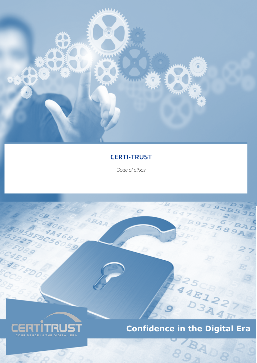

# **CERTI-TRUST**

*Code of ethics*

BAA

B



 $\mathcal G$ 

EAR

# **Confidence in the Digital Era**

893

BAD8

 $479$ 

589A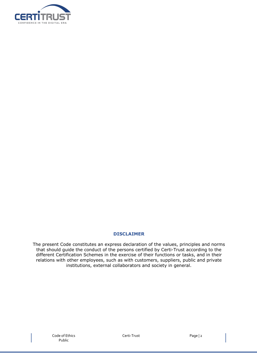

#### **DISCLAIMER**

The present Code constitutes an express declaration of the values, principles and norms that should guide the conduct of the persons certified by Certi-Trust according to the different Certification Schemes in the exercise of their functions or tasks, and in their relations with other employees, such as with customers, suppliers, public and private institutions, external collaborators and society in general.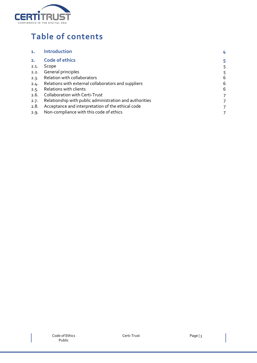

# **Table of contents**

|      | <b>Introduction</b>                                     |   |
|------|---------------------------------------------------------|---|
|      | <b>Code of ethics</b>                                   |   |
| 2.1. | Scope                                                   |   |
| 2.2. | General principles                                      |   |
| 2.3. | Relation with collaborators                             | 6 |
| 2.4. | Relations with external collaborators and suppliers     | 6 |
| 2.5. | Relations with clients                                  | 6 |
| 2.6. | <b>Collaboration with Certi-Trust</b>                   | 7 |
| 2.7. | Relationship with public administration and authorities |   |
| 2.8. | Acceptance and interpretation of the ethical code       |   |
| 2.9. | Non-compliance with this code of ethics                 |   |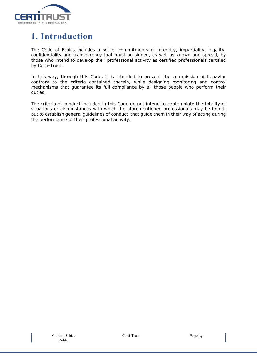

# **1. Introduction**

The Code of Ethics includes a set of commitments of integrity, impartiality, legality, confidentiality and transparency that must be signed, as well as known and spread, by those who intend to develop their professional activity as certified professionals certified by Certi-Trust.

In this way, through this Code, it is intended to prevent the commission of behavior contrary to the criteria contained therein, while designing monitoring and control mechanisms that guarantee its full compliance by all those people who perform their duties.

The criteria of conduct included in this Code do not intend to contemplate the totality of situations or circumstances with which the aforementioned professionals may be found, but to establish general guidelines of conduct that guide them in their way of acting during the performance of their professional activity.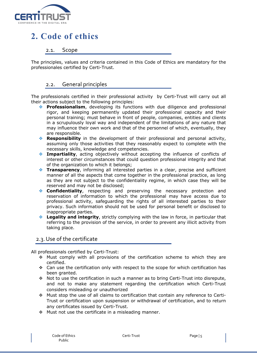

# **2. Code of ethics**

## 2.1. Scope

The principles, values and criteria contained in this Code of Ethics are mandatory for the professionales certified by Certi-Trust.

## 2.2. General principles

The professionals certified in their professional activity by Certi-Trust will carry out all their actions subject to the following principles:

- **Professionalism**, developing its functions with due diligence and professional rigor, and keeping permanently updated their professional capacity and their personal training; must behave in front of people, companies, entities and clients in a scrupulously loyal way and independent of the limitations of any nature that may influence their own work and that of the personnel of which, eventually, they are responsible.
- v **Responsibility** in the development of their professional and personal activity, assuming only those activities that they reasonably expect to complete with the necessary skills, knowledge and competencies.
- **Impartiality**, acting objectively without accepting the influence of conflicts of interest or other circumstances that could question professional integrity and that of the organization to which it belongs;
- **Transparency**, informing all interested parties in a clear, precise and sufficient manner of all the aspects that come together in the professional practice, as long as they are not subject to the confidentiality regime, in which case they will be reserved and may not be disclosed;
- **Confidentiality**, respecting and preserving the necessary protection and reservation of information to which the professional may have access due to professional activity, safeguarding the rights of all interested parties to their privacy. Such information should not be used for personal benefit or disclosed to inappropriate parties.
- v **Legality and integrity**, strictly complying with the law in force, in particular that referring to the provision of the service, in order to prevent any illicit activity from taking place.

#### 2.3.Use of the certificate

All professionals certified by Certi-Trust:

- $\div$  Must comply with all provisions of the certification scheme to which they are certified.
- $\div$  Can use the certification only with respect to the scope for which certification has been granted.
- $\cdot \cdot$  Not to use the certification in such a manner as to bring Certi-Trust into disrepute, and not to make any statement regarding the certification which Certi-Trust considers misleading or unauthorized
- v Must stop the use of all claims to certification that contain any reference to Certi-Trust or certification upon suspension or withdrawal of certification, and to return any certificates issued by Certi-Trust.
- $\div$  Must not use the certificate in a misleading manner.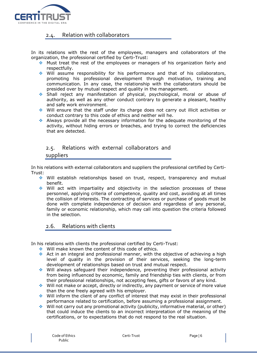

# 2.4. Relation with collaborators

In its relations with the rest of the employees, managers and collaborators of the organization, the professional certified by Certi-Trust:

- $\cdot$  Must treat the rest of the employees or managers of his organization fairly and respectfully.
- Will assume responsibility for his performance and that of his collaborators, promoting his professional development through motivation, training and communication. In any case, the relationship with the collaborators should be presided over by mutual respect and quality in the management.
- \* Shall reject any manifestation of physical, psychological, moral or abuse of authority, as well as any other conduct contrary to generate a pleasant, healthy and safe work environment.
- $\bullet$  Will ensure that the staff under its charge does not carry out illicit activities or conduct contrary to this code of ethics and neither will he.
- $\cdot$  Always provide all the necessary information for the adequate monitoring of the activity, without hiding errors or breaches, and trying to correct the deficiencies that are detected.

## 2.5. Relations with external collaborators and

#### suppliers

In his relations with external collaborators and suppliers the professional certified by Certi-Trust:

- $\div$  Will establish relationships based on trust, respect, transparency and mutual benefit.
- $\div$  Will act with impartiality and objectivity in the selection processes of these personnel, applying criteria of competence, quality and cost, avoiding at all times the collision of interests. The contracting of services or purchase of goods must be done with complete independence of decision and regardless of any personal, family or economic relationship, which may call into question the criteria followed in the selection.

#### 2.6. Relations with clients

In his relations with clients the professional certified by Certi-Trust:

- ◆ Will make known the content of this code of ethics.
- Act in an integral and professional manner, with the objective of achieving a high level of quality in the provision of their services, seeking the long-term development of relationships based on trust and mutual respect.
- $\div$  Will always safeguard their independence, preventing their professional activity from being influenced by economic, family and friendship ties with clients, or from their professional relationships, not accepting fees, gifts or favors of any kind.
- $\bullet$  Will not make or accept, directly or indirectly, any payment or service of more value than the one freely agreed with his employer.
- $\cdot$  Will inform the client of any conflict of interest that may exist in their professional performance related to certification, before assuming a professional assignment.
- $\bullet$  Will not carry out any promotional activity (publicity, informative material, or other) that could induce the clients to an incorrect interpretation of the meaning of the certifications, or to expectations that do not respond to the real situation.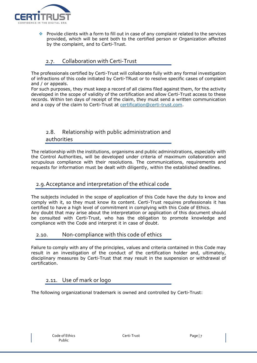

Provide clients with a form to fill out in case of any complaint related to the services provided, which will be sent both to the certified person or Organization affected by the complaint, and to Certi-Trust.

# 2.7. Collaboration with Certi-Trust

The professionals certified by Certi-Trust will collaborate fully with any formal investigation of infractions of this code initiated by Certi-TRust or to resolve specific cases of complaint and / or appeals.

For such purposes, they must keep a record of all claims filed against them, for the activity developed in the scope of validity of the certification and allow Certi-Trust access to these records. Within ten days of receipt of the claim, they must send a written communication and a copy of the claim to Certi-Trust at certification@certi-trust.com.

# 2.8. Relationship with public administration and authorities

The relationship with the institutions, organisms and public administrations, especially with the Control Authorities, will be developed under criteria of maximum collaboration and scrupulous compliance with their resolutions. The communications, requirements and requests for information must be dealt with diligently, within the established deadlines.

# 2.9.Acceptance and interpretation of the ethical code

The subjects included in the scope of application of this Code have the duty to know and comply with it, so they must know its content. Certi-Trust requires professionals it has certified to have a high level of commitment in complying with this Code of Ethics. Any doubt that may arise about the interpretation or application of this document should be consulted with Certi-Trust, who has the obligation to promote knowledge and compliance with the Code and interpret it in case of doubt.

# 2.10. Non-compliance with this code of ethics

Failure to comply with any of the principles, values and criteria contained in this Code may result in an investigation of the conduct of the certification holder and, ultimately, disciplinary measures by Certi-Trust that may result in the suspension or withdrawal of certification.

# 2.11. Use of mark or logo

The following organizational trademark is owned and controlled by Certi-Trust: